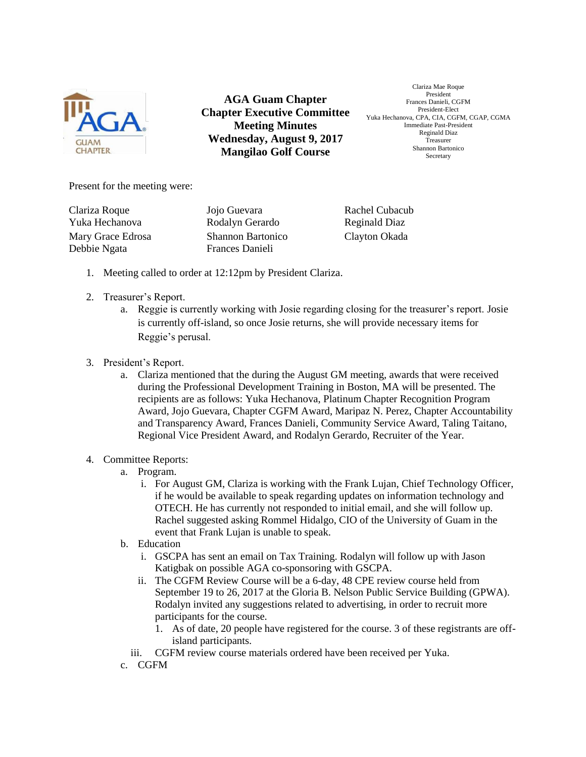

**AGA Guam Chapter Chapter Executive Committee Meeting Minutes Wednesday, August 9, 2017 Mangilao Golf Course** 

Clariza Mae Roque President Frances Danieli, CGFM President-Elect Yuka Hechanova, CPA, CIA, CGFM, CGAP, CGMA Immediate Past-President Reginald Diaz Treasurer Shannon Bartonico Secretary

Present for the meeting were:

Clariza Roque Jojo Guevara Rachel Cubacub Debbie Ngata Frances Danieli

Yuka Hechanova Rodalyn Gerardo Reginald Diaz Mary Grace Edrosa Shannon Bartonico Clayton Okada

- 1. Meeting called to order at 12:12pm by President Clariza.
- 2. Treasurer's Report.
	- a. Reggie is currently working with Josie regarding closing for the treasurer's report. Josie is currently off-island, so once Josie returns, she will provide necessary items for Reggie's perusal.
- 3. President's Report.
	- a. Clariza mentioned that the during the August GM meeting, awards that were received during the Professional Development Training in Boston, MA will be presented. The recipients are as follows: Yuka Hechanova, Platinum Chapter Recognition Program Award, Jojo Guevara, Chapter CGFM Award, Maripaz N. Perez, Chapter Accountability and Transparency Award, Frances Danieli, Community Service Award, Taling Taitano, Regional Vice President Award, and Rodalyn Gerardo, Recruiter of the Year.
- 4. Committee Reports:
	- a. Program.
		- i. For August GM, Clariza is working with the Frank Lujan, Chief Technology Officer, if he would be available to speak regarding updates on information technology and OTECH. He has currently not responded to initial email, and she will follow up. Rachel suggested asking Rommel Hidalgo, CIO of the University of Guam in the event that Frank Lujan is unable to speak.
	- b. Education
		- i. GSCPA has sent an email on Tax Training. Rodalyn will follow up with Jason Katigbak on possible AGA co-sponsoring with GSCPA.
		- ii. The CGFM Review Course will be a 6-day, 48 CPE review course held from September 19 to 26, 2017 at the Gloria B. Nelson Public Service Building (GPWA). Rodalyn invited any suggestions related to advertising, in order to recruit more participants for the course.
			- 1. As of date, 20 people have registered for the course. 3 of these registrants are offisland participants.
		- iii. CGFM review course materials ordered have been received per Yuka.
	- c. CGFM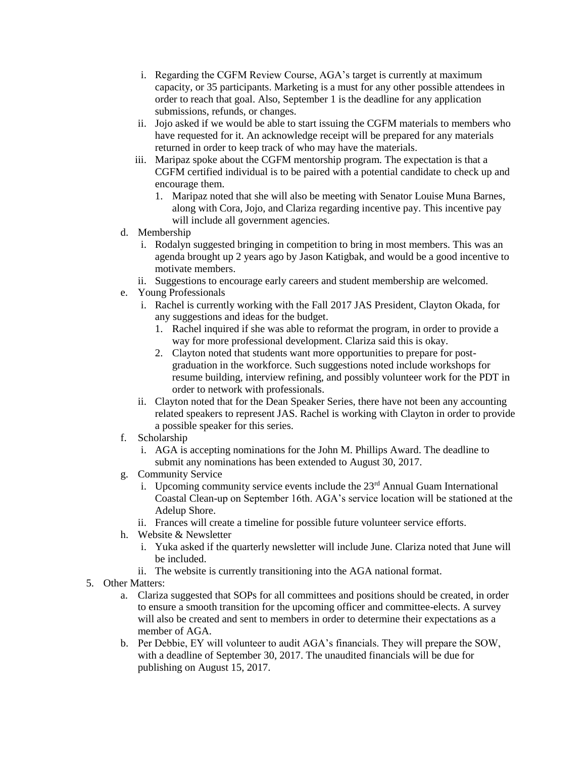- i. Regarding the CGFM Review Course, AGA's target is currently at maximum capacity, or 35 participants. Marketing is a must for any other possible attendees in order to reach that goal. Also, September 1 is the deadline for any application submissions, refunds, or changes.
- ii. Jojo asked if we would be able to start issuing the CGFM materials to members who have requested for it. An acknowledge receipt will be prepared for any materials returned in order to keep track of who may have the materials.
- iii. Maripaz spoke about the CGFM mentorship program. The expectation is that a CGFM certified individual is to be paired with a potential candidate to check up and encourage them.
	- 1. Maripaz noted that she will also be meeting with Senator Louise Muna Barnes, along with Cora, Jojo, and Clariza regarding incentive pay. This incentive pay will include all government agencies.
- d. Membership
	- i. Rodalyn suggested bringing in competition to bring in most members. This was an agenda brought up 2 years ago by Jason Katigbak, and would be a good incentive to motivate members.
	- ii. Suggestions to encourage early careers and student membership are welcomed.
- e. Young Professionals
	- i. Rachel is currently working with the Fall 2017 JAS President, Clayton Okada, for any suggestions and ideas for the budget.
		- 1. Rachel inquired if she was able to reformat the program, in order to provide a way for more professional development. Clariza said this is okay.
		- 2. Clayton noted that students want more opportunities to prepare for postgraduation in the workforce. Such suggestions noted include workshops for resume building, interview refining, and possibly volunteer work for the PDT in order to network with professionals.
	- ii. Clayton noted that for the Dean Speaker Series, there have not been any accounting related speakers to represent JAS. Rachel is working with Clayton in order to provide a possible speaker for this series.
- f. Scholarship
	- i. AGA is accepting nominations for the John M. Phillips Award. The deadline to submit any nominations has been extended to August 30, 2017.
- g. Community Service
	- i. Upcoming community service events include the  $23<sup>rd</sup>$  Annual Guam International Coastal Clean-up on September 16th. AGA's service location will be stationed at the Adelup Shore.
	- ii. Frances will create a timeline for possible future volunteer service efforts.
- h. Website & Newsletter
	- i. Yuka asked if the quarterly newsletter will include June. Clariza noted that June will be included.
	- ii. The website is currently transitioning into the AGA national format.
- 5. Other Matters:
	- a. Clariza suggested that SOPs for all committees and positions should be created, in order to ensure a smooth transition for the upcoming officer and committee-elects. A survey will also be created and sent to members in order to determine their expectations as a member of AGA.
	- b. Per Debbie, EY will volunteer to audit AGA's financials. They will prepare the SOW, with a deadline of September 30, 2017. The unaudited financials will be due for publishing on August 15, 2017.